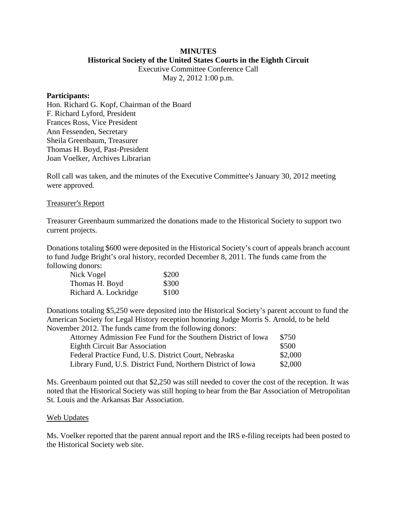#### **MINUTES Historical Society of the United States Courts in the Eighth Circuit**

Executive Committee Conference Call

May 2, 2012 1:00 p.m.

#### **Participants:**

Hon. Richard G. Kopf, Chairman of the Board F. Richard Lyford, President Frances Ross, Vice President Ann Fessenden, Secretary Sheila Greenbaum, Treasurer Thomas H. Boyd, Past-President Joan Voelker, Archives Librarian

Roll call was taken, and the minutes of the Executive Committee's January 30, 2012 meeting were approved.

### Treasurer's Report

Treasurer Greenbaum summarized the donations made to the Historical Society to support two current projects.

Donations totaling \$600 were deposited in the Historical Society's court of appeals branch account to fund Judge Bright's oral history, recorded December 8, 2011. The funds came from the following donors:

| Nick Vogel           | \$200 |
|----------------------|-------|
| Thomas H. Boyd       | \$300 |
| Richard A. Lockridge | \$100 |

Donations totaling \$5,250 were deposited into the Historical Society's parent account to fund the American Society for Legal History reception honoring Judge Morris S. Arnold, to be held November 2012. The funds came from the following donors:

| Attorney Admission Fee Fund for the Southern District of Iowa | \$750   |
|---------------------------------------------------------------|---------|
| <b>Eighth Circuit Bar Association</b>                         | \$500   |
| Federal Practice Fund, U.S. District Court, Nebraska          | \$2,000 |
| Library Fund, U.S. District Fund, Northern District of Iowa   | \$2,000 |

Ms. Greenbaum pointed out that \$2,250 was still needed to cover the cost of the reception. It was noted that the Historical Society was still hoping to hear from the Bar Association of Metropolitan St. Louis and the Arkansas Bar Association.

### Web Updates

Ms. Voelker reported that the parent annual report and the IRS e-filing receipts had been posted to the Historical Society web site.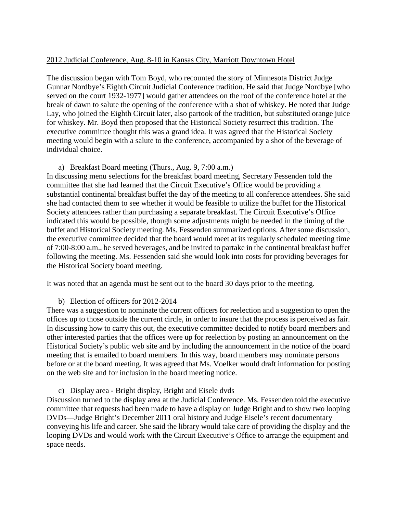### 2012 Judicial Conference, Aug. 8-10 in Kansas City, Marriott Downtown Hotel

The discussion began with Tom Boyd, who recounted the story of Minnesota District Judge Gunnar Nordbye's Eighth Circuit Judicial Conference tradition. He said that Judge Nordbye [who served on the court 1932-1977] would gather attendees on the roof of the conference hotel at the break of dawn to salute the opening of the conference with a shot of whiskey. He noted that Judge Lay, who joined the Eighth Circuit later, also partook of the tradition, but substituted orange juice for whiskey. Mr. Boyd then proposed that the Historical Society resurrect this tradition. The executive committee thought this was a grand idea. It was agreed that the Historical Society meeting would begin with a salute to the conference, accompanied by a shot of the beverage of individual choice.

## a) Breakfast Board meeting (Thurs., Aug. 9, 7:00 a.m.)

In discussing menu selections for the breakfast board meeting, Secretary Fessenden told the committee that she had learned that the Circuit Executive's Office would be providing a substantial continental breakfast buffet the day of the meeting to all conference attendees. She said she had contacted them to see whether it would be feasible to utilize the buffet for the Historical Society attendees rather than purchasing a separate breakfast. The Circuit Executive's Office indicated this would be possible, though some adjustments might be needed in the timing of the buffet and Historical Society meeting. Ms. Fessenden summarized options. After some discussion, the executive committee decided that the board would meet at its regularly scheduled meeting time of 7:00-8:00 a.m., be served beverages, and be invited to partake in the continental breakfast buffet following the meeting. Ms. Fessenden said she would look into costs for providing beverages for the Historical Society board meeting.

It was noted that an agenda must be sent out to the board 30 days prior to the meeting.

### b) Election of officers for 2012-2014

There was a suggestion to nominate the current officers for reelection and a suggestion to open the offices up to those outside the current circle, in order to insure that the process is perceived as fair. In discussing how to carry this out, the executive committee decided to notify board members and other interested parties that the offices were up for reelection by posting an announcement on the Historical Society's public web site and by including the announcement in the notice of the board meeting that is emailed to board members. In this way, board members may nominate persons before or at the board meeting. It was agreed that Ms. Voelker would draft information for posting on the web site and for inclusion in the board meeting notice.

c) Display area - Bright display, Bright and Eisele dvds

Discussion turned to the display area at the Judicial Conference. Ms. Fessenden told the executive committee that requests had been made to have a display on Judge Bright and to show two looping DVDs—Judge Bright's December 2011 oral history and Judge Eisele's recent documentary conveying his life and career. She said the library would take care of providing the display and the looping DVDs and would work with the Circuit Executive's Office to arrange the equipment and space needs.